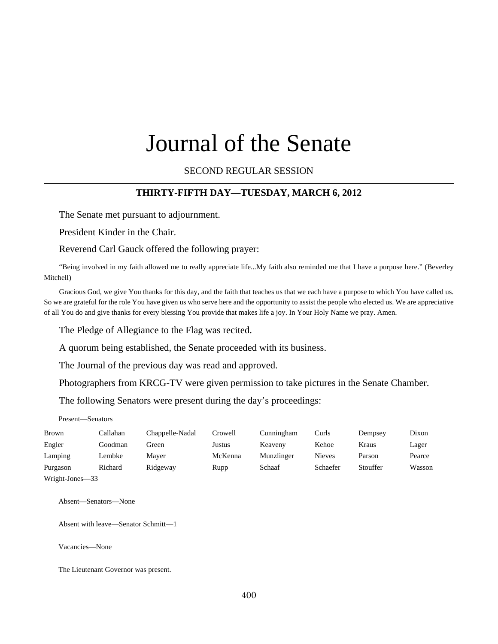# Journal of the Senate

SECOND REGULAR SESSION

## **THIRTY-FIFTH DAY—TUESDAY, MARCH 6, 2012**

The Senate met pursuant to adjournment.

President Kinder in the Chair.

Reverend Carl Gauck offered the following prayer:

"Being involved in my faith allowed me to really appreciate life...My faith also reminded me that I have a purpose here." (Beverley Mitchell)

Gracious God, we give You thanks for this day, and the faith that teaches us that we each have a purpose to which You have called us. So we are grateful for the role You have given us who serve here and the opportunity to assist the people who elected us. We are appreciative of all You do and give thanks for every blessing You provide that makes life a joy. In Your Holy Name we pray. Amen.

The Pledge of Allegiance to the Flag was recited.

A quorum being established, the Senate proceeded with its business.

The Journal of the previous day was read and approved.

Photographers from KRCG-TV were given permission to take pictures in the Senate Chamber.

The following Senators were present during the day's proceedings:

Present—Senators

| <b>Brown</b>    | Callahan | Chappelle-Nadal | Crowell | Cunningham | Curls         | Dempsey  | Dixon  |
|-----------------|----------|-----------------|---------|------------|---------------|----------|--------|
| Engler          | Goodman  | Green           | Justus  | Keaveny    | Kehoe         | Kraus    | Lager  |
| Lamping         | Lembke   | Maver           | McKenna | Munzlinger | <b>Nieves</b> | Parson   | Pearce |
| Purgason        | Richard  | Ridgeway        | Rupp    | Schaaf     | Schaefer      | Stouffer | Wasson |
| Wright-Jones-33 |          |                 |         |            |               |          |        |

Absent—Senators—None

Absent with leave—Senator Schmitt—1

Vacancies—None

The Lieutenant Governor was present.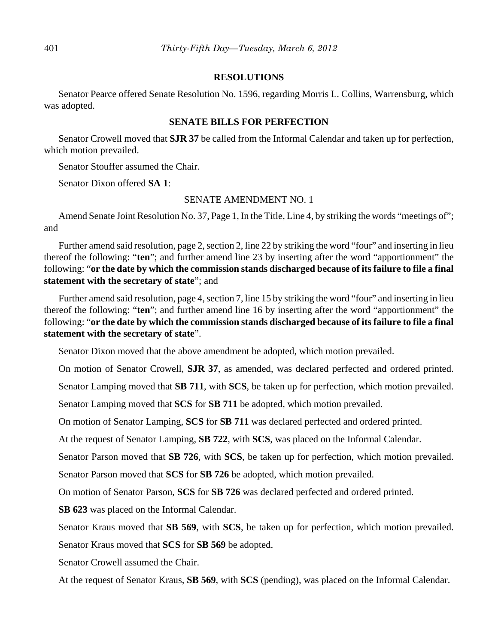#### **RESOLUTIONS**

Senator Pearce offered Senate Resolution No. 1596, regarding Morris L. Collins, Warrensburg, which was adopted.

## **SENATE BILLS FOR PERFECTION**

Senator Crowell moved that **SJR 37** be called from the Informal Calendar and taken up for perfection, which motion prevailed.

Senator Stouffer assumed the Chair.

Senator Dixon offered **SA 1**:

### SENATE AMENDMENT NO. 1

Amend Senate Joint Resolution No. 37, Page 1, In the Title, Line 4, by striking the words "meetings of"; and

Further amend said resolution, page 2, section 2, line 22 by striking the word "four" and inserting in lieu thereof the following: "**ten**"; and further amend line 23 by inserting after the word "apportionment" the following: "**or the date by which the commission stands discharged because of its failure to file a final statement with the secretary of state**"; and

Further amend said resolution, page 4, section 7, line 15 by striking the word "four" and inserting in lieu thereof the following: "**ten**"; and further amend line 16 by inserting after the word "apportionment" the following: "**or the date by which the commission stands discharged because of its failure to file a final statement with the secretary of state**".

Senator Dixon moved that the above amendment be adopted, which motion prevailed.

On motion of Senator Crowell, **SJR 37**, as amended, was declared perfected and ordered printed.

Senator Lamping moved that **SB 711**, with **SCS**, be taken up for perfection, which motion prevailed.

Senator Lamping moved that **SCS** for **SB 711** be adopted, which motion prevailed.

On motion of Senator Lamping, **SCS** for **SB 711** was declared perfected and ordered printed.

At the request of Senator Lamping, **SB 722**, with **SCS**, was placed on the Informal Calendar.

Senator Parson moved that **SB 726**, with **SCS**, be taken up for perfection, which motion prevailed.

Senator Parson moved that **SCS** for **SB 726** be adopted, which motion prevailed.

On motion of Senator Parson, **SCS** for **SB 726** was declared perfected and ordered printed.

**SB 623** was placed on the Informal Calendar.

Senator Kraus moved that **SB 569**, with **SCS**, be taken up for perfection, which motion prevailed.

Senator Kraus moved that **SCS** for **SB 569** be adopted.

Senator Crowell assumed the Chair.

At the request of Senator Kraus, **SB 569**, with **SCS** (pending), was placed on the Informal Calendar.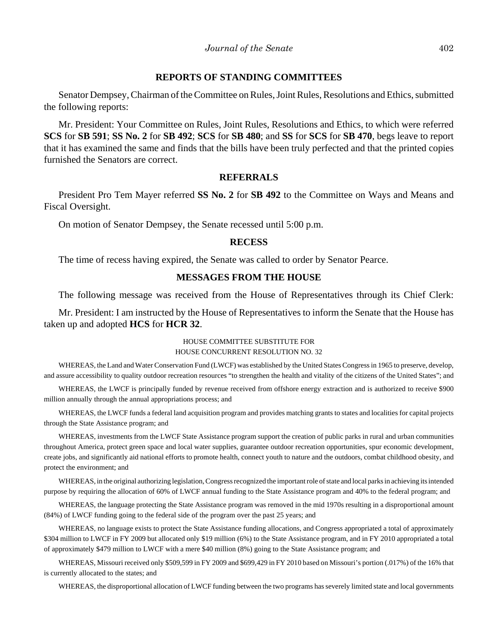#### **REPORTS OF STANDING COMMITTEES**

Senator Dempsey, Chairman of the Committee on Rules, Joint Rules, Resolutions and Ethics, submitted the following reports:

Mr. President: Your Committee on Rules, Joint Rules, Resolutions and Ethics, to which were referred **SCS** for **SB 591**; **SS No. 2** for **SB 492**; **SCS** for **SB 480**; and **SS** for **SCS** for **SB 470**, begs leave to report that it has examined the same and finds that the bills have been truly perfected and that the printed copies furnished the Senators are correct.

#### **REFERRALS**

President Pro Tem Mayer referred **SS No. 2** for **SB 492** to the Committee on Ways and Means and Fiscal Oversight.

On motion of Senator Dempsey, the Senate recessed until 5:00 p.m.

#### **RECESS**

The time of recess having expired, the Senate was called to order by Senator Pearce.

### **MESSAGES FROM THE HOUSE**

The following message was received from the House of Representatives through its Chief Clerk:

Mr. President: I am instructed by the House of Representatives to inform the Senate that the House has taken up and adopted **HCS** for **HCR 32**.

#### HOUSE COMMITTEE SUBSTITUTE FOR HOUSE CONCURRENT RESOLUTION NO. 32

WHEREAS, the Land and Water Conservation Fund (LWCF) was established by the United States Congress in 1965 to preserve, develop, and assure accessibility to quality outdoor recreation resources "to strengthen the health and vitality of the citizens of the United States"; and

WHEREAS, the LWCF is principally funded by revenue received from offshore energy extraction and is authorized to receive \$900 million annually through the annual appropriations process; and

WHEREAS, the LWCF funds a federal land acquisition program and provides matching grants to states and localities for capital projects through the State Assistance program; and

WHEREAS, investments from the LWCF State Assistance program support the creation of public parks in rural and urban communities throughout America, protect green space and local water supplies, guarantee outdoor recreation opportunities, spur economic development, create jobs, and significantly aid national efforts to promote health, connect youth to nature and the outdoors, combat childhood obesity, and protect the environment; and

WHEREAS, in the original authorizing legislation, Congress recognized the important role of state and local parks in achieving its intended purpose by requiring the allocation of 60% of LWCF annual funding to the State Assistance program and 40% to the federal program; and

WHEREAS, the language protecting the State Assistance program was removed in the mid 1970s resulting in a disproportional amount (84%) of LWCF funding going to the federal side of the program over the past 25 years; and

WHEREAS, no language exists to protect the State Assistance funding allocations, and Congress appropriated a total of approximately \$304 million to LWCF in FY 2009 but allocated only \$19 million (6%) to the State Assistance program, and in FY 2010 appropriated a total of approximately \$479 million to LWCF with a mere \$40 million (8%) going to the State Assistance program; and

WHEREAS, Missouri received only \$509,599 in FY 2009 and \$699,429 in FY 2010 based on Missouri's portion (.017%) of the 16% that is currently allocated to the states; and

WHEREAS, the disproportional allocation of LWCF funding between the two programs has severely limited state and local governments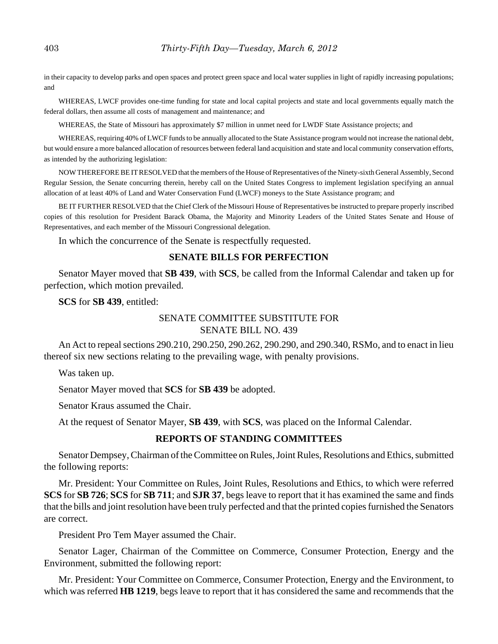in their capacity to develop parks and open spaces and protect green space and local water supplies in light of rapidly increasing populations; and

WHEREAS, LWCF provides one-time funding for state and local capital projects and state and local governments equally match the federal dollars, then assume all costs of management and maintenance; and

WHEREAS, the State of Missouri has approximately \$7 million in unmet need for LWDF State Assistance projects; and

WHEREAS, requiring 40% of LWCF funds to be annually allocated to the State Assistance program would not increase the national debt, but would ensure a more balanced allocation of resources between federal land acquisition and state and local community conservation efforts, as intended by the authorizing legislation:

NOW THEREFORE BE IT RESOLVED that the members of the House of Representatives of the Ninety-sixth General Assembly, Second Regular Session, the Senate concurring therein, hereby call on the United States Congress to implement legislation specifying an annual allocation of at least 40% of Land and Water Conservation Fund (LWCF) moneys to the State Assistance program; and

BE IT FURTHER RESOLVED that the Chief Clerk of the Missouri House of Representatives be instructed to prepare properly inscribed copies of this resolution for President Barack Obama, the Majority and Minority Leaders of the United States Senate and House of Representatives, and each member of the Missouri Congressional delegation.

In which the concurrence of the Senate is respectfully requested.

### **SENATE BILLS FOR PERFECTION**

Senator Mayer moved that **SB 439**, with **SCS**, be called from the Informal Calendar and taken up for perfection, which motion prevailed.

**SCS** for **SB 439**, entitled:

## SENATE COMMITTEE SUBSTITUTE FOR SENATE BILL NO. 439

An Act to repeal sections 290.210, 290.250, 290.262, 290.290, and 290.340, RSMo, and to enact in lieu thereof six new sections relating to the prevailing wage, with penalty provisions.

Was taken up.

Senator Mayer moved that **SCS** for **SB 439** be adopted.

Senator Kraus assumed the Chair.

At the request of Senator Mayer, **SB 439**, with **SCS**, was placed on the Informal Calendar.

## **REPORTS OF STANDING COMMITTEES**

Senator Dempsey, Chairman of the Committee on Rules, Joint Rules, Resolutions and Ethics, submitted the following reports:

Mr. President: Your Committee on Rules, Joint Rules, Resolutions and Ethics, to which were referred **SCS** for **SB 726**; **SCS** for **SB 711**; and **SJR 37**, begs leave to report that it has examined the same and finds that the bills and joint resolution have been truly perfected and that the printed copies furnished the Senators are correct.

President Pro Tem Mayer assumed the Chair.

Senator Lager, Chairman of the Committee on Commerce, Consumer Protection, Energy and the Environment, submitted the following report:

Mr. President: Your Committee on Commerce, Consumer Protection, Energy and the Environment, to which was referred **HB 1219**, begs leave to report that it has considered the same and recommends that the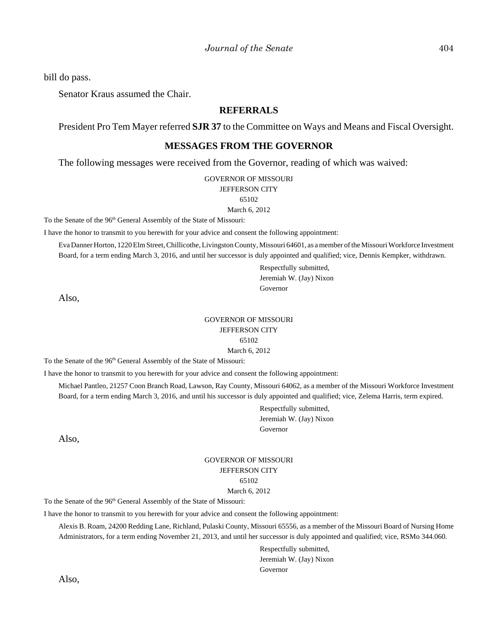bill do pass.

Senator Kraus assumed the Chair.

## **REFERRALS**

President Pro Tem Mayer referred **SJR 37** to the Committee on Ways and Means and Fiscal Oversight.

#### **MESSAGES FROM THE GOVERNOR**

The following messages were received from the Governor, reading of which was waived:

GOVERNOR OF MISSOURI JEFFERSON CITY

## 65102

# March 6, 2012

To the Senate of the 96<sup>th</sup> General Assembly of the State of Missouri:

I have the honor to transmit to you herewith for your advice and consent the following appointment:

Eva Danner Horton, 1220 Elm Street, Chillicothe, Livingston County, Missouri 64601, as a member of the Missouri Workforce Investment Board, for a term ending March 3, 2016, and until her successor is duly appointed and qualified; vice, Dennis Kempker, withdrawn.

> Respectfully submitted, Jeremiah W. (Jay) Nixon Governor

Also,

## GOVERNOR OF MISSOURI

#### JEFFERSON CITY 65102

#### March 6, 2012

To the Senate of the 96<sup>th</sup> General Assembly of the State of Missouri:

I have the honor to transmit to you herewith for your advice and consent the following appointment:

Michael Pantleo, 21257 Coon Branch Road, Lawson, Ray County, Missouri 64062, as a member of the Missouri Workforce Investment Board, for a term ending March 3, 2016, and until his successor is duly appointed and qualified; vice, Zelema Harris, term expired.

> Respectfully submitted, Jeremiah W. (Jay) Nixon Governor

Also,

#### GOVERNOR OF MISSOURI JEFFERSON CITY 65102 March 6, 2012

To the Senate of the 96<sup>th</sup> General Assembly of the State of Missouri:

I have the honor to transmit to you herewith for your advice and consent the following appointment:

Alexis B. Roam, 24200 Redding Lane, Richland, Pulaski County, Missouri 65556, as a member of the Missouri Board of Nursing Home Administrators, for a term ending November 21, 2013, and until her successor is duly appointed and qualified; vice, RSMo 344.060.

> Respectfully submitted, Jeremiah W. (Jay) Nixon Governor

Also,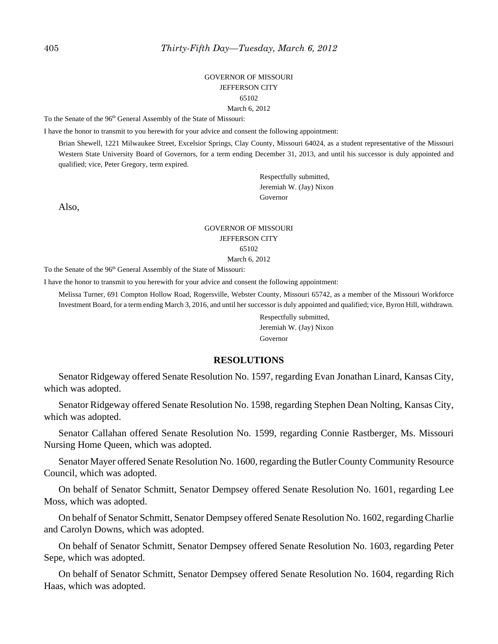## GOVERNOR OF MISSOURI JEFFERSON CITY 65102

March 6, 2012

To the Senate of the 96<sup>th</sup> General Assembly of the State of Missouri:

I have the honor to transmit to you herewith for your advice and consent the following appointment:

Brian Shewell, 1221 Milwaukee Street, Excelsior Springs, Clay County, Missouri 64024, as a student representative of the Missouri Western State University Board of Governors, for a term ending December 31, 2013, and until his successor is duly appointed and qualified; vice, Peter Gregory, term expired.

> Respectfully submitted, Jeremiah W. (Jay) Nixon Governor

Also,

#### GOVERNOR OF MISSOURI JEFFERSON CITY 65102 March 6, 2012

To the Senate of the 96<sup>th</sup> General Assembly of the State of Missouri:

I have the honor to transmit to you herewith for your advice and consent the following appointment:

Melissa Turner, 691 Compton Hollow Road, Rogersville, Webster County, Missouri 65742, as a member of the Missouri Workforce Investment Board, for a term ending March 3, 2016, and until her successor is duly appointed and qualified; vice, Byron Hill, withdrawn.

> Respectfully submitted, Jeremiah W. (Jay) Nixon Governor

#### **RESOLUTIONS**

Senator Ridgeway offered Senate Resolution No. 1597, regarding Evan Jonathan Linard, Kansas City, which was adopted.

Senator Ridgeway offered Senate Resolution No. 1598, regarding Stephen Dean Nolting, Kansas City, which was adopted.

Senator Callahan offered Senate Resolution No. 1599, regarding Connie Rastberger, Ms. Missouri Nursing Home Queen, which was adopted.

Senator Mayer offered Senate Resolution No. 1600, regarding the Butler County Community Resource Council, which was adopted.

On behalf of Senator Schmitt, Senator Dempsey offered Senate Resolution No. 1601, regarding Lee Moss, which was adopted.

On behalf of Senator Schmitt, Senator Dempsey offered Senate Resolution No. 1602, regarding Charlie and Carolyn Downs, which was adopted.

On behalf of Senator Schmitt, Senator Dempsey offered Senate Resolution No. 1603, regarding Peter Sepe, which was adopted.

On behalf of Senator Schmitt, Senator Dempsey offered Senate Resolution No. 1604, regarding Rich Haas, which was adopted.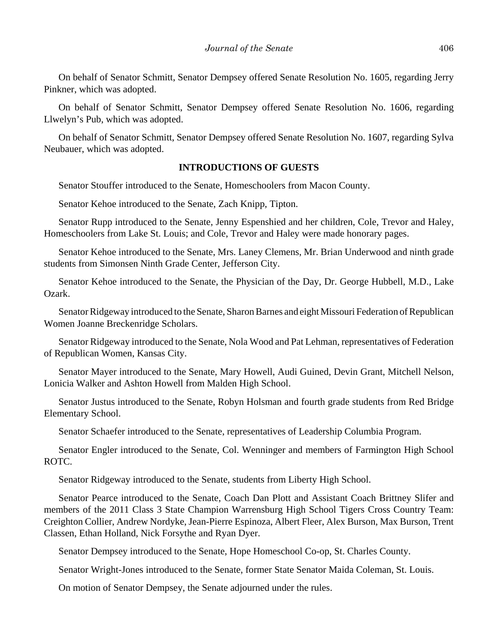On behalf of Senator Schmitt, Senator Dempsey offered Senate Resolution No. 1605, regarding Jerry Pinkner, which was adopted.

On behalf of Senator Schmitt, Senator Dempsey offered Senate Resolution No. 1606, regarding Llwelyn's Pub, which was adopted.

On behalf of Senator Schmitt, Senator Dempsey offered Senate Resolution No. 1607, regarding Sylva Neubauer, which was adopted.

## **INTRODUCTIONS OF GUESTS**

Senator Stouffer introduced to the Senate, Homeschoolers from Macon County.

Senator Kehoe introduced to the Senate, Zach Knipp, Tipton.

Senator Rupp introduced to the Senate, Jenny Espenshied and her children, Cole, Trevor and Haley, Homeschoolers from Lake St. Louis; and Cole, Trevor and Haley were made honorary pages.

Senator Kehoe introduced to the Senate, Mrs. Laney Clemens, Mr. Brian Underwood and ninth grade students from Simonsen Ninth Grade Center, Jefferson City.

Senator Kehoe introduced to the Senate, the Physician of the Day, Dr. George Hubbell, M.D., Lake Ozark.

Senator Ridgeway introduced to the Senate, Sharon Barnes and eight Missouri Federation of Republican Women Joanne Breckenridge Scholars.

Senator Ridgeway introduced to the Senate, Nola Wood and Pat Lehman, representatives of Federation of Republican Women, Kansas City.

Senator Mayer introduced to the Senate, Mary Howell, Audi Guined, Devin Grant, Mitchell Nelson, Lonicia Walker and Ashton Howell from Malden High School.

Senator Justus introduced to the Senate, Robyn Holsman and fourth grade students from Red Bridge Elementary School.

Senator Schaefer introduced to the Senate, representatives of Leadership Columbia Program.

Senator Engler introduced to the Senate, Col. Wenninger and members of Farmington High School ROTC.

Senator Ridgeway introduced to the Senate, students from Liberty High School.

Senator Pearce introduced to the Senate, Coach Dan Plott and Assistant Coach Brittney Slifer and members of the 2011 Class 3 State Champion Warrensburg High School Tigers Cross Country Team: Creighton Collier, Andrew Nordyke, Jean-Pierre Espinoza, Albert Fleer, Alex Burson, Max Burson, Trent Classen, Ethan Holland, Nick Forsythe and Ryan Dyer.

Senator Dempsey introduced to the Senate, Hope Homeschool Co-op, St. Charles County.

Senator Wright-Jones introduced to the Senate, former State Senator Maida Coleman, St. Louis.

On motion of Senator Dempsey, the Senate adjourned under the rules.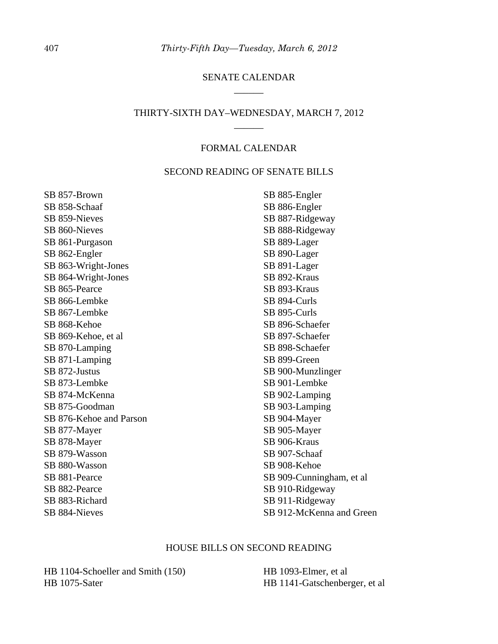# SENATE CALENDAR \_\_\_\_\_\_

## THIRTY-SIXTH DAY–WEDNESDAY, MARCH 7, 2012 \_\_\_\_\_\_

## FORMAL CALENDAR

## SECOND READING OF SENATE BILLS

SB 857-Brown SB 858-Schaaf SB 859-Nieves SB 860-Nieves SB 861-Purgason SB 862-Engler SB 863-Wright-Jones SB 864-Wright-Jones SB 865-Pearce SB 866-Lembke SB 867-Lembke SB 868-Kehoe SB 869-Kehoe, et al SB 870-Lamping SB 871-Lamping SB 872-Justus SB 873-Lembke SB 874-McKenna SB 875-Goodman SB 876-Kehoe and Parson SB 877-Mayer SB 878-Mayer SB 879-Wasson SB 880-Wasson SB 881-Pearce SB 882-Pearce SB 883-Richard SB 884-Nieves

SB 885-Engler SB 886-Engler SB 887-Ridgeway SB 888-Ridgeway SB 889-Lager SB 890-Lager SB 891-Lager SB 892-Kraus SB 893-Kraus SB 894-Curls SB 895-Curls SB 896-Schaefer SB 897-Schaefer SB 898-Schaefer SB 899-Green SB 900-Munzlinger SB 901-Lembke SB 902-Lamping SB 903-Lamping SB 904-Mayer SB 905-Mayer SB 906-Kraus SB 907-Schaaf SB 908-Kehoe SB 909-Cunningham, et al SB 910-Ridgeway SB 911-Ridgeway SB 912-McKenna and Green

## HOUSE BILLS ON SECOND READING

HB 1104-Schoeller and Smith (150) HB 1075-Sater

HB 1093-Elmer, et al HB 1141-Gatschenberger, et al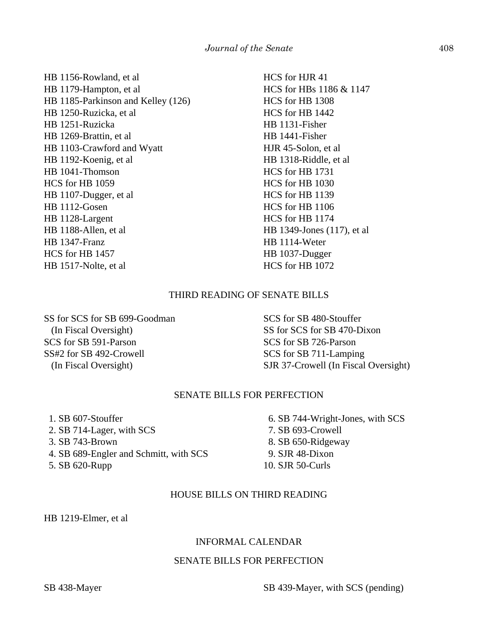HB 1156-Rowland, et al HB 1179-Hampton, et al HB 1185-Parkinson and Kelley (126) HB 1250-Ruzicka, et al HB 1251-Ruzicka HB 1269-Brattin, et al HB 1103-Crawford and Wyatt HB 1192-Koenig, et al HB 1041-Thomson HCS for HB 1059 HB 1107-Dugger, et al HB 1112-Gosen HB 1128-Largent HB 1188-Allen, et al HB 1347-Franz HCS for HB 1457 HB 1517-Nolte, et al

HCS for HJR 41 HCS for HBs 1186 & 1147 HCS for HB 1308 HCS for HB 1442 HB 1131-Fisher HB 1441-Fisher HJR 45-Solon, et al HB 1318-Riddle, et al HCS for HB 1731 HCS for HB 1030 HCS for HB 1139 HCS for HB 1106 HCS for HB 1174 HB 1349-Jones (117), et al HB 1114-Weter HB 1037-Dugger HCS for HB 1072

# THIRD READING OF SENATE BILLS

SS for SCS for SB 699-Goodman (In Fiscal Oversight) SCS for SB 591-Parson SS#2 for SB 492-Crowell (In Fiscal Oversight)

SCS for SB 480-Stouffer SS for SCS for SB 470-Dixon SCS for SB 726-Parson SCS for SB 711-Lamping SJR 37-Crowell (In Fiscal Oversight)

## SENATE BILLS FOR PERFECTION

 1. SB 607-Stouffer 2. SB 714-Lager, with SCS 3. SB 743-Brown 4. SB 689-Engler and Schmitt, with SCS 5. SB 620-Rupp

 6. SB 744-Wright-Jones, with SCS 7. SB 693-Crowell 8. SB 650-Ridgeway 9. SJR 48-Dixon 10. SJR 50-Curls

## HOUSE BILLS ON THIRD READING

HB 1219-Elmer, et al

## INFORMAL CALENDAR

#### SENATE BILLS FOR PERFECTION

SB 438-Mayer SB 439-Mayer, with SCS (pending)